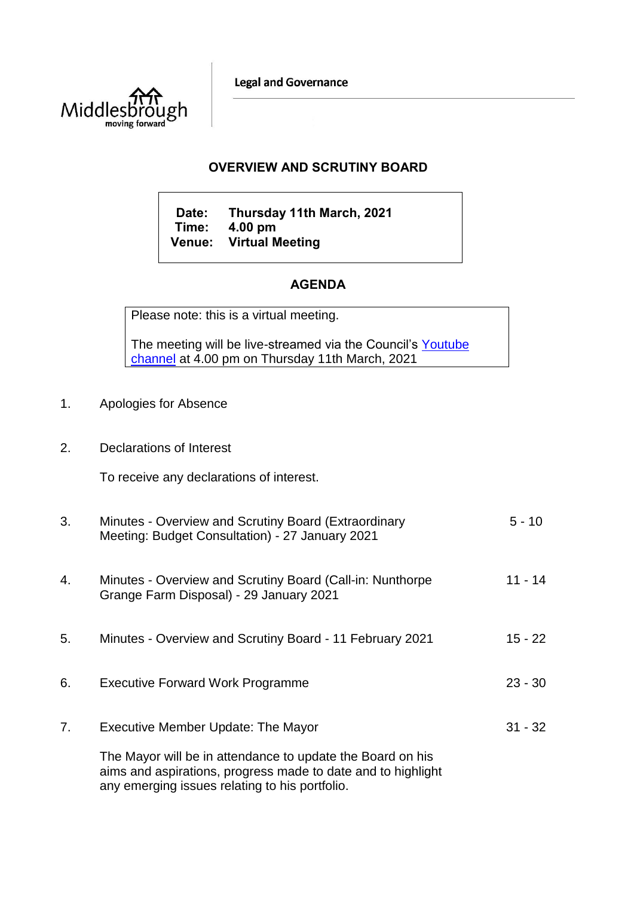**Legal and Governance** 



## **OVERVIEW AND SCRUTINY BOARD**

**Date: Thursday 11th March, 2021 Time: 4.00 pm Venue: Virtual Meeting**

## **AGENDA**

Please note: this is a virtual meeting.

The meeting will be live-streamed via the Council's Youtube [channel](https://www.youtube.com/user/middlesbroughcouncil) at 4.00 pm on Thursday 11th March, 2021

- 1. Apologies for Absence
- 2. Declarations of Interest

To receive any declarations of interest.

| 3. | Minutes - Overview and Scrutiny Board (Extraordinary<br>Meeting: Budget Consultation) - 27 January 2021                                                                      | 5 - 10    |
|----|------------------------------------------------------------------------------------------------------------------------------------------------------------------------------|-----------|
| 4. | Minutes - Overview and Scrutiny Board (Call-in: Nunthorpe<br>Grange Farm Disposal) - 29 January 2021                                                                         | $11 - 14$ |
| 5. | Minutes - Overview and Scrutiny Board - 11 February 2021                                                                                                                     | $15 - 22$ |
| 6. | <b>Executive Forward Work Programme</b>                                                                                                                                      | $23 - 30$ |
| 7. | Executive Member Update: The Mayor                                                                                                                                           | $31 - 32$ |
|    | The Mayor will be in attendance to update the Board on his<br>aims and aspirations, progress made to date and to highlight<br>any emerging issues relating to his portfolio. |           |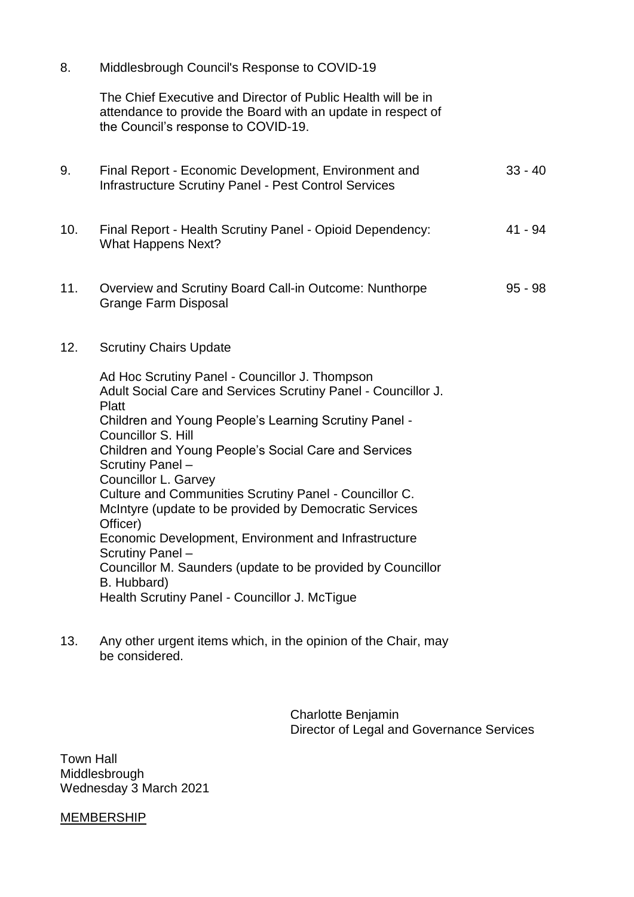8. Middlesbrough Council's Response to COVID-19

The Chief Executive and Director of Public Health will be in attendance to provide the Board with an update in respect of the Council's response to COVID-19.

| 9.  | Final Report - Economic Development, Environment and<br><b>Infrastructure Scrutiny Panel - Pest Control Services</b>                                                                                                                                                                                                                                                                                                                                                                                                                                                                                                                                   | $33 - 40$ |
|-----|--------------------------------------------------------------------------------------------------------------------------------------------------------------------------------------------------------------------------------------------------------------------------------------------------------------------------------------------------------------------------------------------------------------------------------------------------------------------------------------------------------------------------------------------------------------------------------------------------------------------------------------------------------|-----------|
| 10. | Final Report - Health Scrutiny Panel - Opioid Dependency:<br><b>What Happens Next?</b>                                                                                                                                                                                                                                                                                                                                                                                                                                                                                                                                                                 | 41 - 94   |
| 11. | Overview and Scrutiny Board Call-in Outcome: Nunthorpe<br><b>Grange Farm Disposal</b>                                                                                                                                                                                                                                                                                                                                                                                                                                                                                                                                                                  | $95 - 98$ |
| 12. | <b>Scrutiny Chairs Update</b>                                                                                                                                                                                                                                                                                                                                                                                                                                                                                                                                                                                                                          |           |
|     | Ad Hoc Scrutiny Panel - Councillor J. Thompson<br>Adult Social Care and Services Scrutiny Panel - Councillor J.<br>Platt<br>Children and Young People's Learning Scrutiny Panel -<br>Councillor S. Hill<br>Children and Young People's Social Care and Services<br>Scrutiny Panel -<br>Councillor L. Garvey<br>Culture and Communities Scrutiny Panel - Councillor C.<br>McIntyre (update to be provided by Democratic Services<br>Officer)<br>Economic Development, Environment and Infrastructure<br>Scrutiny Panel -<br>Councillor M. Saunders (update to be provided by Councillor<br>B. Hubbard)<br>Health Scrutiny Panel - Councillor J. McTigue |           |

13. Any other urgent items which, in the opinion of the Chair, may be considered.

> Charlotte Benjamin Director of Legal and Governance Services

Town Hall Middlesbrough Wednesday 3 March 2021

**MEMBERSHIP**